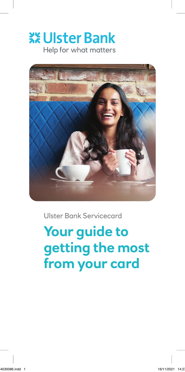# **XX Ulster Bank** Help for what matters



Ulster Bank Servicecard

**Your guide to getting the most from your card**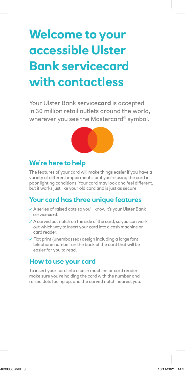# **Welcome to your accessible Ulster Bank servicecard with contactless**

Your Ulster Bank service**card** is accepted in 30 million retail outlets around the world, wherever you see the Mastercard® symbol.



# **We're here to help**

The features of your card will make things easier if you have a variety of different impairments, or if you're using the card in poor lighting conditions. Your card may look and feel different, but it works just like your old card and is just as secure.

# **Your card has three unique features**

- ✓ A series of raised dots so you'll know it's your Ulster Bank service**card**.
- ✓ A carved out notch on the side of the card, so you can work out which way to insert your card into a cash machine or card reader.
- ✓ Flat print (unembossed) design including a large font telephone number on the back of the card that will be easier for you to read.

### **How to use your card**

To insert your card into a cash machine or card reader, make sure you're holding the card with the number and raised dots facing up, and the carved notch nearest you.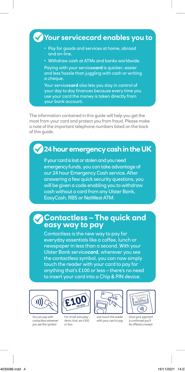#### • Pay for goods and services at home, abroad and on-line. • Withdraw cash at ATMs and banks worldwide. Paying with your service**card** is quicker, easier and less hassle than juggling with cash or writing a cheque. Your service**card** also lets you stay in control of your day to day finances because every time you use your card the money is taken directly from **Your servicecard enables you to**

The information contained in this guide will help you get the most from your card and protect you from fraud. Please make a note of the important telephone numbers listed on the back of this guide.

your bank account.

# **24 hour emergency cash in the UK**

If your card is lost or stolen and you need emergency funds, you can take advantage of our 24 hour Emergency Cash service. After answering a few quick security questions, you will be given a code enabling you to withdraw cash without a card from any Ulster Bank, EasyCash, RBS or NatWest ATM.

## **Contactless – The quick and easy way to pay**

Contactless is the new way to pay for everyday essentials like a coffee, lunch or newspaper in less than a second. With your Ulster Bank service**card**, wherever you see the contactless symbol, you can now simply the contactless symbol, you can now simp<br>touch the reader with your card to pay for anything that's £100 or less – there's no need to insert your card into a Chip & PIN device.

card to pay



where you see the symbol symbol

You can pay with contactless wherever you see this symbol



are £20 or less

For small everyday items that are £100 or less



Just touch the reader with your card to pay



 $\mathcal{L}_{\mathcal{D}}$  you let be only a receipt a receipt a receipt a receipt and  $\mathcal{L}_{\mathcal{D}}$ 

Once your payment is confirmed you'll be offered a receipt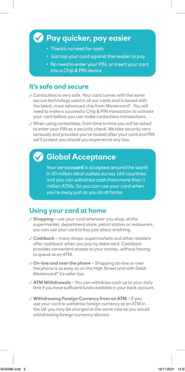# **Pay quicker, pay easier**

- There's no need for cash
- Just tap your card against the reader to pay
- No need to enter your PIN, or insert your card into a Chip & PIN device

### **It's safe and secure**

- ✓ Contactless is very safe. Your card comes with the same secure technology used in all our cards and is issued with the latest, most advanced chip from Mastercard®. You will need to make a successful Chip & PIN transaction to activate your card before you can make contactless transactions.
- ✓ When using contactless, from time to time you will be asked to enter your PIN as a security check. We take security very seriously and provided you've looked after your card and PIN, we'll protect you should you experience any loss.

# **Global Acceptance**

Your service**card** is accepted around the world in 30 million retail outlets across 160 countries and you can withdraw cash from more than 1 million ATMs. So you can use your card when you're away just as you do at home.

# **Using your card at home**

- ✓ **Shopping** use your card wherever you shop, at the supermarket, department store, petrol station or restaurant, you can use your card to buy just about anything.
- ✓ **Cashback** many shops, supermarkets and other retailers offer cashback when you pay by debit card. Cashback provides convenient access to your money, without having to queue at an ATM.
- ✓ **On-line and over the phone** Shopping on-line or over the phone is as easy as on the High Street and with Debit Mastercard® it's safer too.
- ✓ **ATM Withdrawals** You can withdraw cash up to your daily limit if you have sufficient funds available in your bank account.
- ✓ **Withdrawing Foreign Currency from an ATM** If you use your card to withdraw foreign currency at an ATM in the UK you may be charged at the same rate as you would withdrawing foreign currency abroad.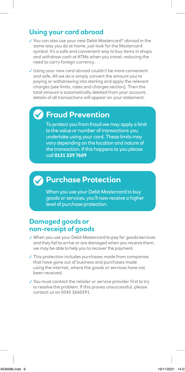# **Using your card abroad**

✓ You can also use your new Debit Mastercard® abroad in the same way you do at home, just look for the Mastercard symbol. It's a safe and convenient way to buy items in shops and withdraw cash at ATMs when you travel, reducing the need to carry foreign currency.

✓ Using your new card abroad couldn't be more convenient and safe. All we do is simply convert the amount you're paying or withdrawing into sterling and apply the relevant charges (see limits, rates and charges section). Then the total amount is automatically debited from your account, details of all transactions will appear on your statement.

# **Fraud Prevention**

To protect you from fraud we may apply a limit to the value or number of transactions you undertake using your card. These limits may vary depending on the location and nature of the transaction. If this happens to you please call **0131 339 7609**

# **Purchase Protection**

When you use your Debit Mastercard to buy goods or services, you'll now receive a higher level of purchase protection.

#### **Damaged goods or non-receipt of goods**

- ✓ When you use your Debit Mastercard to pay for goods/services and they fail to arrive or are damaged when you receive them, we may be able to help you to recover the payment.
- ✓ This protection includes purchases made from companies that have gone out of business and purchases made using the internet, where the goods or services have not been received.
- ✓ You must contact the retailer or service provider first to try to resolve the problem. If this proves unsuccessful, please contact us on 0345 3660391.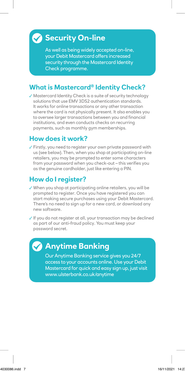# **Security On-line**

As well as being widely accepted on-line, your Debit Mastercard offers increased security through the Mastercard Identity Check programme.

# **What is Mastercard® Identity Check?**

✓ Mastercard Identity Check is a suite of security technology solutions that use EMV 3DS2 authentication standards. It works for online transactions or any other transaction where the card is not physically present. It also enables you to oversee larger transactions between you and financial institutions, and even conducts checks on recurring payments, such as monthly gym memberships.

### **How does it work?**

✓ Firstly, you need to register your own private password with us (see below). Then, when you shop at participating on-line retailers, you may be prompted to enter some characters from your password when you check-out – this verifies you as the genuine cardholder, just like entering a PIN.

# **How do I register?**

- ✓ When you shop at participating online retailers, you will be prompted to register. Once you have registered you can start making secure purchases using your Debit Mastercard. There's no need to sign up for a new card, or download any new software.
- ✓ If you do not register at all, your transaction may be declined as part of our anti-fraud policy. You must keep your password secret.

# **Anytime Banking**

Our Anytime Banking service gives you 24/7 access to your accounts online. Use your Debit Mastercard for quick and easy sign up, just visit [www.ulsterbank.co.uk/anytime](http://www.ulsterbank.co.uk/anytime)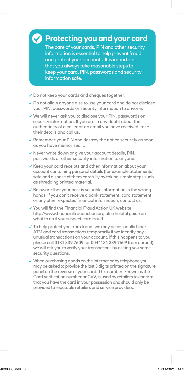# **Protecting you and your card**

The care of your cards, PIN and other security information is essential to help prevent fraud and protect your accounts. It is important that you always take reasonable steps to keep your card, PIN, passwords and security information safe.

- ✓ Do not keep your cards and cheques together.
- ✓ Do not allow anyone else to use your card and do not disclose your PIN, passwords or security information to anyone.
- ✓ We will never ask you to disclose your PIN, passwords or security information. If you are in any doubt about the authenticity of a caller or an email you have received, take their details and call us.
- ✓ Remember your PIN and destroy the notice securely as soon as you have memorised it.
- ✓ Never write down or give your account details, PIN, passwords or other security information to anyone.
- ✓ Keep your card receipts and other information about your account containing personal details (for example Statements) safe and dispose of them carefully by taking simple steps such as shredding printed material.
- ✓ Be aware that your post is valuable information in the wrong hands. If you don't receive a bank statement, card statement or any other expected financial information, contact us.
- ✓ You will find the Financial Fraud Action UK website <http://www.financialfraudaction.org.uk> a helpful guide on what to do if you suspect card fraud.
- ✓ To help protect you from fraud, we may occasionally block ATM and card transactions temporarily if we identify any unusual transactions on your account. If this happens to you please call 0131 339 7609 (or 0044131 339 7609 from abroad), we will ask you to verify your transactions by asking you some security questions.
- ✓ When purchasing goods on the internet or by telephone you may be asked to provide the last 3 digits printed on the signature panel on the reverse of your card. This number, known as the Card Verification number or CVV, is used by retailers to confirm that you have the card in your possession and should only be provided to reputable retailers and service providers.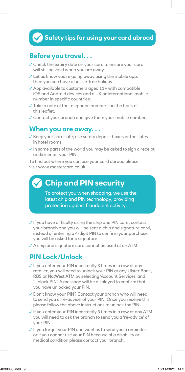# **Safety tips for using your card abroad**

### **Before you travel. . .**

- ✓ Check the expiry date on your card to ensure your card will still be valid when you are away.
- ✓ Let us know you're going away using the mobile app, then you can have a hassle-free holiday.
- ✓ App available to customers aged 11+ with compatible iOS and Android devices and a UK or international mobile number in specific countries.
- ✓ Take a note of the telephone numbers on the back of this leaflet.
- ✓ Contact your branch and give them your mobile number.

#### **When you are away. . .**

- ✓ Keep your card safe; use safety deposit boxes or the safes in hotel rooms.
- ✓ In some parts of the world you may be asked to sign a receipt and/or enter your PIN.

To find out where you can use your card abroad please visit [www.](http://www.visaeurope.com)mastercard.co.uk

# **Chip and PIN security**

To protect you when shopping, we use the latest chip and PIN technology, providing protection against fraudulent activity.

- ✓ If you have difficulty using the chip and PIN card, contact your branch and you will be sent a chip and signature card, instead of entering a 4-digit PIN to confirm your purchase you will be asked for a signature.
- ✓ A chip and signature card cannot be used at an ATM.

#### **PIN Lock/Unlock**

- ✓ If you enter your PIN incorrectly 3 times in a row at any retailer, you will need to unlock your PIN at any Ulster Bank, RBS or NatWest ATM by selecting 'Account Services' and 'Unlock PIN'. A message will be displayed to confirm that you have unlocked your PIN.
- ✓ Don't know your PIN? Contact your branch who will need to send you a 're-advice' of your PIN. Once you receive this, please follow the above instructions to unlock the PIN.
- ✓ If you enter your PIN incorrectly 3 times in a row at any ATM, you will need to ask the branch to send you a 're-advice' of your PIN.
- ✓ If you forget your PIN and want us to send you a reminder or if you cannot use your PIN because of a disability or medical condition please contact your branch.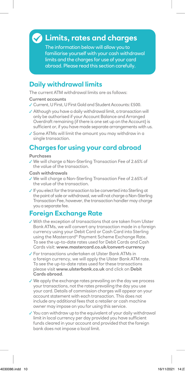# **Limits, rates and charges**

The information below will allow you to familiarise yourself with your cash withdrawal limits and the charges for use of your card abroad. Please read this section carefully.

## **Daily withdrawal limits**

The current ATM withdrawal limits are as follows:

#### **Current accounts**

- ✓ Current, U First, U First Gold and Student Accounts: £500.
- ✓ Although you have a daily withdrawal limit, a transaction will only be authorised if your Account Balance and Arranged Overdraft remaining (if there is one set up on the Account) is sufficient or, if you have made separate arrangements with us.
- ✓ Some ATMs will limit the amount you may withdraw in a single transaction.

# **Charges for using your card abroad**

#### **Purchases**

✓ We will charge a Non-Sterling Transaction Fee of 2.65% of the value of the transaction.

#### **Cash withdrawals**

- ✓ We will charge a Non-Sterling Transaction Fee of 2.65% of the value of the transaction.
- ✓ If you elect for the transaction to be converted into Sterling at the point of sale or withdrawal, we will not charge a Non-Sterling Transaction Fee, however, the transaction handler may charge you a separate fee.

# **Foreign Exchange Rate**

- ✓ With the exception of transactions that are taken from Ulster Bank ATMs, we will convert any transaction made in a foreign currency using your Debit Card or Cash Card into Sterling using the Mastercard® Payment Scheme Exchange Rate. To see the up-to-date rates used for Debit Cards and Cash Cards visit: **[www.](http://www.visaeurope.com)mastercard.co.uk/convert-currency**
- ✓ For transactions undertaken at Ulster Bank ATMs in a foreign currency, we will apply the Ulster Bank ATM rate. To see the up-to-date rates used for these transactions please visit **[www.ulsterbank.co.uk](http://www.ulsterbank.co.uk)** and click on **Debit Cards abroad**.
- ✓ We apply the exchange rates prevailing on the day we process your transactions, not the rates prevailing the day you use your card. Details of commission charges will appear on your account statement with each transaction. This does not include any additional fees that a retailer or cash machine owner may impose on you for using this service.
- ✓ You can withdraw up to the equivalent of your daily withdrawal limit in local currency per day provided you have sufficient funds cleared in your account and provided that the foreign bank does not impose a local limit.